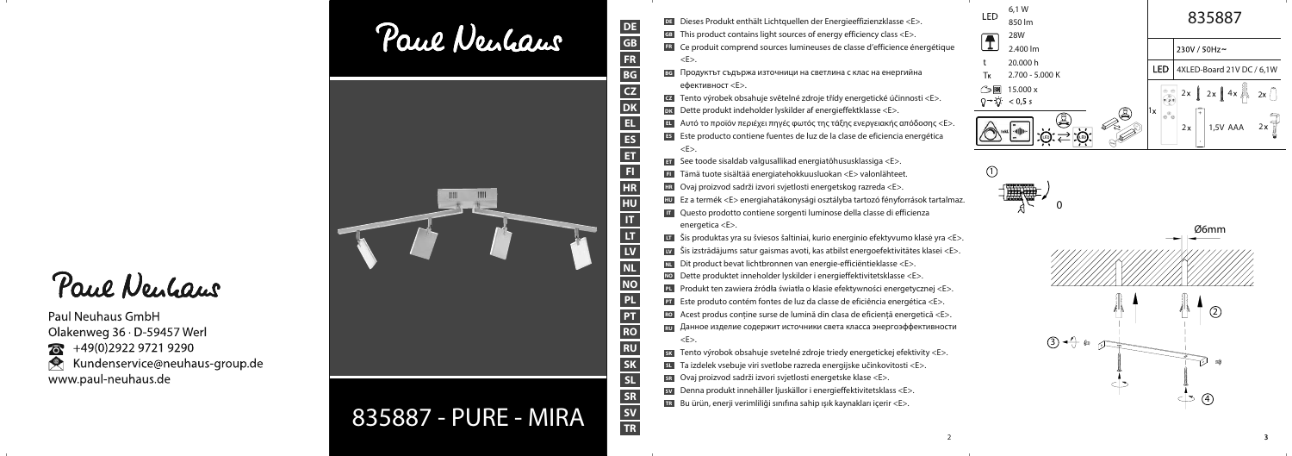Paul Neulaus

**Paul Neuhaus GmbH** Olakenweg 36 · D-59457 Werl  $76 + 49(0)292297219290$ Kundenservice@neuhaus-group.de www.paul-neuhaus.de





835887 - PURE - MIRA

DE Dieses Produkt enthält Lichtquellen der Energieeffizienzklasse <E>.

- **GB** This product contains light sources of energy efficiency class  $\leq$  E>.
- ERIC e produit comprend sources lumineuses de classe d'efficience énergétique  $\langle$ F $>$
- ве Продуктът съдържа източници на светлина с клас на енергийна  $e$ фективност  $\leq F$
- cz Tento výrobek obsahuje světelné zdroje třídy energetické účinnosti <E>.
- DK Dette produkt indeholder lyskilder af energieffektklasse <E>.
- **ΕΙ** Αυτό το προϊόν περιέχει πηγές φωτός της τάξης ενεργειακής απόδοσης <Ε>.
- Este producto contiene fuentes de luz de la clase de eficiencia energética  $\langle E \rangle$
- see toode sisaldab valgusallikad energiatõhususklassiga <E>.
- FL Tämä tuote sisältää energiatehokkuusluokan <E> valonlähteet.
- ER Ovaj proizvod sadrži izvori svjetlosti energetskog razreda <E>.
- EU Ez a termék <E> energiahatákonysági osztályba tartozó fényforrások tartalmaz.
- **TH** Questo prodotto contiene sorgenti luminose della classe di efficienza energetica <E>.
- Li Šis produktas yra su šviesos šaltiniai, kurio energinio efektyvumo klasė yra <E>.
- V Šis izstrādājums satur gaismas avoti, kas atbilst energoefektivitātes klasei <E>.
- Dit product bevat lichtbronnen van energie-efficiëntieklasse <E>.
- No Dette produktet inneholder lyskilder i energieffektivitetsklasse <E>.
- PL Produkt ten zawiera źródła światła o klasie efektywności energetycznej <E>.
- **ET** Este produto contém fontes de luz da classe de eficiência energética <E>.
- Ro Acest produs conține surse de lumină din clasa de eficiență energetică <E>.
- **RU** Данное изделие содержит источники света класса энергоэффективности  $\langle F \rangle$
- sk Tento výrobok obsahuje svetelné zdroje triedy energetickej efektivity <E>.
- su Ta izdelek vsebuje viri svetlobe razreda energijske učinkovitosti <E>.
- sR Ovaj proizvod sadrži izvori svjetlosti energetske klase <E>.
- sv Denna produkt innehåller ljuskällor i energieffektivitetsklass <E>.
- IB Bu ürün, enerji verimliliği sınıfına sahip ışık kaynakları içerir <E>.

| LED                                                            | 6,1 W<br>850 lm             |  | 835887     |                     |                             |  |
|----------------------------------------------------------------|-----------------------------|--|------------|---------------------|-----------------------------|--|
|                                                                | <b>28W</b><br>2.400 lm      |  |            |                     | 230V / 50Hz~                |  |
| t<br>Тĸ                                                        | 20.000 h<br>2.700 - 5.000 K |  | <b>LED</b> |                     | 4XLED-Board 21V DC / 6,1W   |  |
| ี∋⊠                                                            | 15.000 x<br>< 0.5 s         |  |            |                     | $2x \int 2x \int 4x$<br>2x  |  |
| Â<br>E<br>$\overline{\mathbf{r}}$<br>offlio-<br>Inkl.<br>(LED) |                             |  | 1x         | $\circ^\circ \circ$ | $+$<br>2x<br>1,5V AAA<br>2x |  |